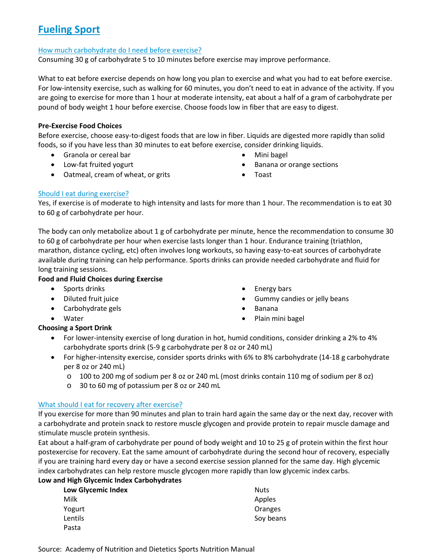# **[Fueling Sport](http://www.nutritioncaremanual.org/topic.cfm?ncm_category_id=29&lv1=255684&ncm_toc_id=255684&ncm_heading=&)**

## [How much carbohydrate do I need before exercise?](http://www.nutritioncaremanual.org/topic.cfm?ncm_category_id=29&lv1=255684&ncm_toc_id=255684&ncm_heading=&)

Consuming 30 g of carbohydrate 5 to 10 minutes before exercise may improve performance.

What to eat before exercise depends on how long you plan to exercise and what you had to eat before exercise. For low-intensity exercise, such as walking for 60 minutes, you don't need to eat in advance of the activity. If you are going to exercise for more than 1 hour at moderate intensity, eat about a half of a gram of carbohydrate per pound of body weight 1 hour before exercise. Choose foods low in fiber that are easy to digest.

## **Pre-Exercise Food Choices**

Before exercise, choose easy-to-digest foods that are low in fiber. Liquids are digested more rapidly than solid foods, so if you have less than 30 minutes to eat before exercise, consider drinking liquids.

- Granola or cereal bar
- Low-fat fruited yogurt
- Oatmeal, cream of wheat, or grits
- Mini bagel
- Banana or orange sections
- Toast

## Should I eat [during exercise?](http://www.nutritioncaremanual.org/topic.cfm?ncm_category_id=29&lv1=255684&ncm_toc_id=255684&ncm_heading=&)

Yes, if exercise is of moderate to high intensity and lasts for more than 1 hour. The recommendation is to eat 30 to 60 g of carbohydrate per hour.

The body can only metabolize about 1 g of carbohydrate per minute, hence the recommendation to consume 30 to 60 g of carbohydrate per hour when exercise lasts longer than 1 hour. Endurance training (triathlon, marathon, distance cycling, etc) often involves long workouts, so having easy-to-eat sources of carbohydrate available during training can help performance. Sports drinks can provide needed carbohydrate and fluid for long training sessions.

# **Food and Fluid Choices during Exercise**

- Sports drinks
- Diluted fruit juice
- Carbohydrate gels
- Water

# **Choosing a Sport Drink**

- Energy bars
- Gummy candies or jelly beans
- Banana
- Plain mini bagel
- For lower-intensity exercise of long duration in hot, humid conditions, consider drinking a 2% to 4% carbohydrate sports drink (5-9 g carbohydrate per 8 oz or 240 mL)
- For higher-intensity exercise, consider sports drinks with 6% to 8% carbohydrate (14-18 g carbohydrate per 8 oz or 240 mL)
	- o 100 to 200 mg of sodium per 8 oz or 240 mL (most drinks contain 110 mg of sodium per 8 oz)
	- o 30 to 60 mg of potassium per 8 oz or 240 mL

## [What should I eat for recovery after exercise?](http://www.nutritioncaremanual.org/topic.cfm?ncm_category_id=29&lv1=255684&ncm_toc_id=255684&ncm_heading=&)

If you exercise for more than 90 minutes and plan to train hard again the same day or the next day, recover with a carbohydrate and protein snack to restore muscle glycogen and provide protein to repair muscle damage and stimulate muscle protein synthesis.

Eat about a half-gram of carbohydrate per pound of body weight and 10 to 25 g of protein within the first hour postexercise for recovery. Eat the same amount of carbohydrate during the second hour of recovery, especially if you are training hard every day or have a second exercise session planned for the same day. High glycemic index carbohydrates can help restore muscle glycogen more rapidly than low glycemic index carbs.

## **Low and High Glycemic Index Carbohydrates**

| Low Glycemic Index | <b>Nuts</b> |
|--------------------|-------------|
| Milk               | Apples      |
| Yogurt             | Oranges     |
| Lentils            | Soy beans   |
| Pasta              |             |

Source: Academy of Nutrition and Dietetics Sports Nutrition Manual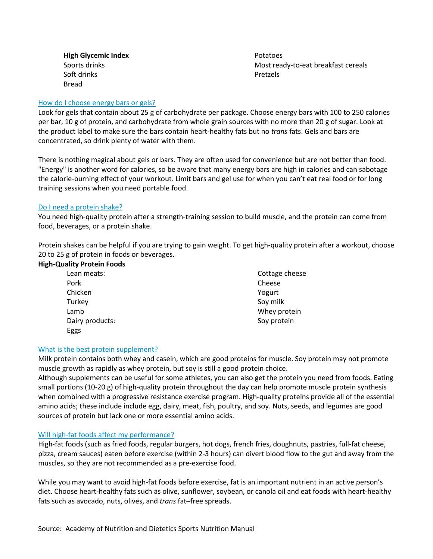| <b>High Glycemic Index</b> |
|----------------------------|
| Sports drinks              |
| Soft drinks                |
| <b>Bread</b>               |

Potatoes Most ready-to-eat breakfast cereals Pretzels

#### [How do I choose energy bars or gels?](http://www.nutritioncaremanual.org/topic.cfm?ncm_category_id=29&lv1=255684&ncm_toc_id=255684&ncm_heading=&)

Look for gels that contain about 25 g of carbohydrate per package. Choose energy bars with 100 to 250 calories per bar, 10 g of protein, and carbohydrate from whole grain sources with no more than 20 g of sugar. Look at the product label to make sure the bars contain heart-healthy fats but no *trans* fats. Gels and bars are concentrated, so drink plenty of water with them.

There is nothing magical about gels or bars. They are often used for convenience but are not better than food. "Energy" is another word for calories, so be aware that many energy bars are high in calories and can sabotage the calorie-burning effect of your workout. Limit bars and gel use for when you can't eat real food or for long training sessions when you need portable food.

#### [Do I need a protein shake?](http://www.nutritioncaremanual.org/topic.cfm?ncm_category_id=29&lv1=255684&ncm_toc_id=255684&ncm_heading=&)

You need high-quality protein after a strength-training session to build muscle, and the protein can come from food, beverages, or a protein shake.

Protein shakes can be helpful if you are trying to gain weight. To get high-quality protein after a workout, choose 20 to 25 g of protein in foods or beverages.

#### **High-Quality Protein Foods**

| Lean meats:     | Cottage cheese |
|-----------------|----------------|
| Pork            | Cheese         |
| Chicken         | Yogurt         |
| Turkey          | Soy milk       |
| Lamb            | Whey protein   |
| Dairy products: | Soy protein    |
| Eggs            |                |

## [What is the best protein supplement?](http://www.nutritioncaremanual.org/topic.cfm?ncm_category_id=29&lv1=255684&ncm_toc_id=255684&ncm_heading=&)

Milk protein contains both whey and casein, which are good proteins for muscle. Soy protein may not promote muscle growth as rapidly as whey protein, but soy is still a good protein choice.

Although supplements can be useful for some athletes, you can also get the protein you need from foods. Eating small portions (10-20 g) of high-quality protein throughout the day can help promote muscle protein synthesis when combined with a progressive resistance exercise program. High-quality proteins provide all of the essential amino acids; these include include egg, dairy, meat, fish, poultry, and soy. Nuts, seeds, and legumes are good sources of protein but lack one or more essential amino acids.

#### [Will high-fat foods affect my performance?](http://www.nutritioncaremanual.org/topic.cfm?ncm_category_id=29&lv1=255684&ncm_toc_id=255684&ncm_heading=&)

High-fat foods (such as fried foods, regular burgers, hot dogs, french fries, doughnuts, pastries, full-fat cheese, pizza, cream sauces) eaten before exercise (within 2-3 hours) can divert blood flow to the gut and away from the muscles, so they are not recommended as a pre-exercise food.

While you may want to avoid high-fat foods before exercise, fat is an important nutrient in an active person's diet. Choose heart-healthy fats such as olive, sunflower, soybean, or canola oil and eat foods with heart-healthy fats such as avocado, nuts, olives, and *trans* fat–free spreads.